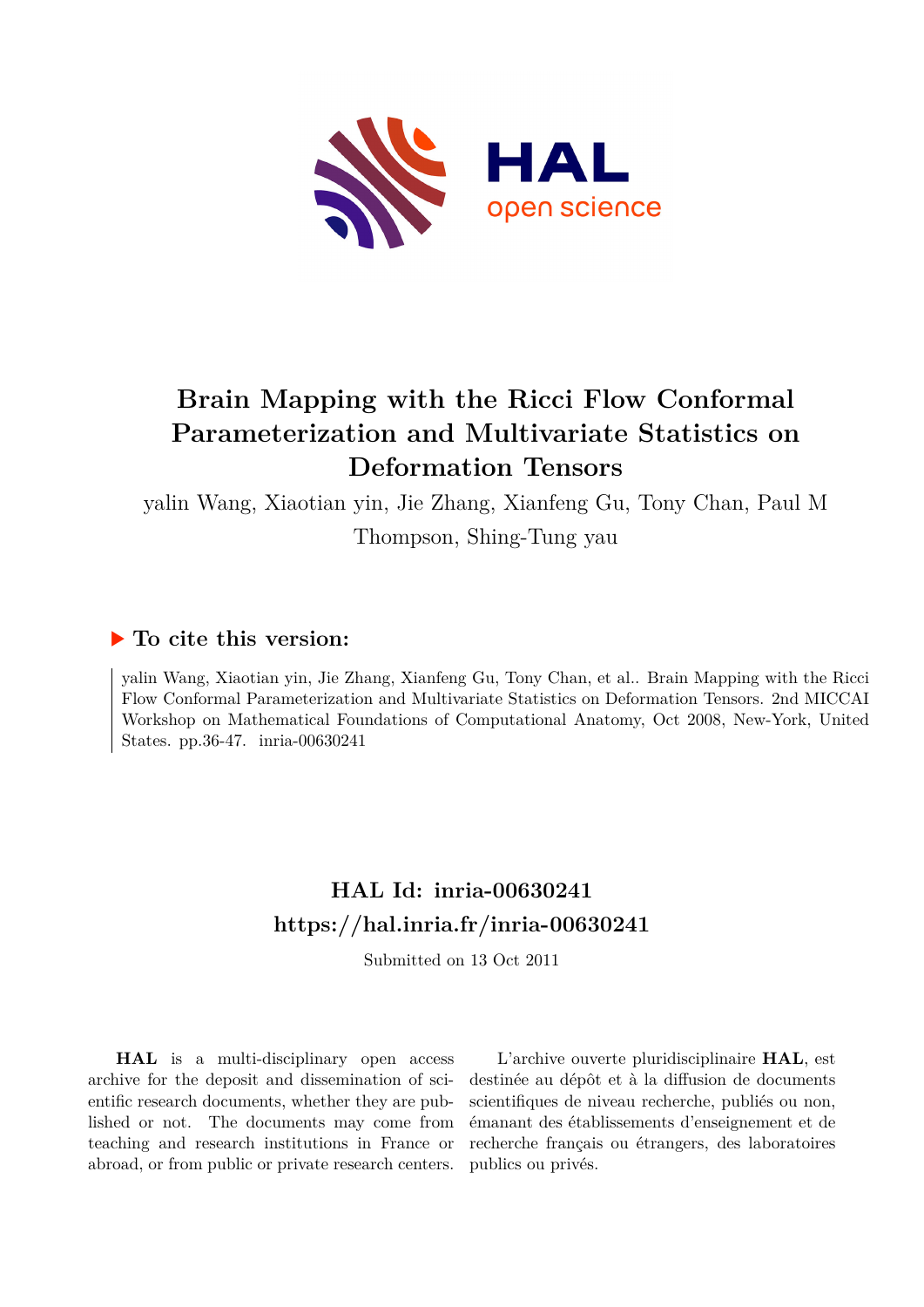

# **Brain Mapping with the Ricci Flow Conformal Parameterization and Multivariate Statistics on Deformation Tensors**

yalin Wang, Xiaotian yin, Jie Zhang, Xianfeng Gu, Tony Chan, Paul M Thompson, Shing-Tung yau

### **To cite this version:**

yalin Wang, Xiaotian yin, Jie Zhang, Xianfeng Gu, Tony Chan, et al.. Brain Mapping with the Ricci Flow Conformal Parameterization and Multivariate Statistics on Deformation Tensors. 2nd MICCAI Workshop on Mathematical Foundations of Computational Anatomy, Oct 2008, New-York, United States. pp.36-47.  $inria-00630241$ 

## **HAL Id: inria-00630241 <https://hal.inria.fr/inria-00630241>**

Submitted on 13 Oct 2011

**HAL** is a multi-disciplinary open access archive for the deposit and dissemination of scientific research documents, whether they are published or not. The documents may come from teaching and research institutions in France or abroad, or from public or private research centers.

L'archive ouverte pluridisciplinaire **HAL**, est destinée au dépôt et à la diffusion de documents scientifiques de niveau recherche, publiés ou non, émanant des établissements d'enseignement et de recherche français ou étrangers, des laboratoires publics ou privés.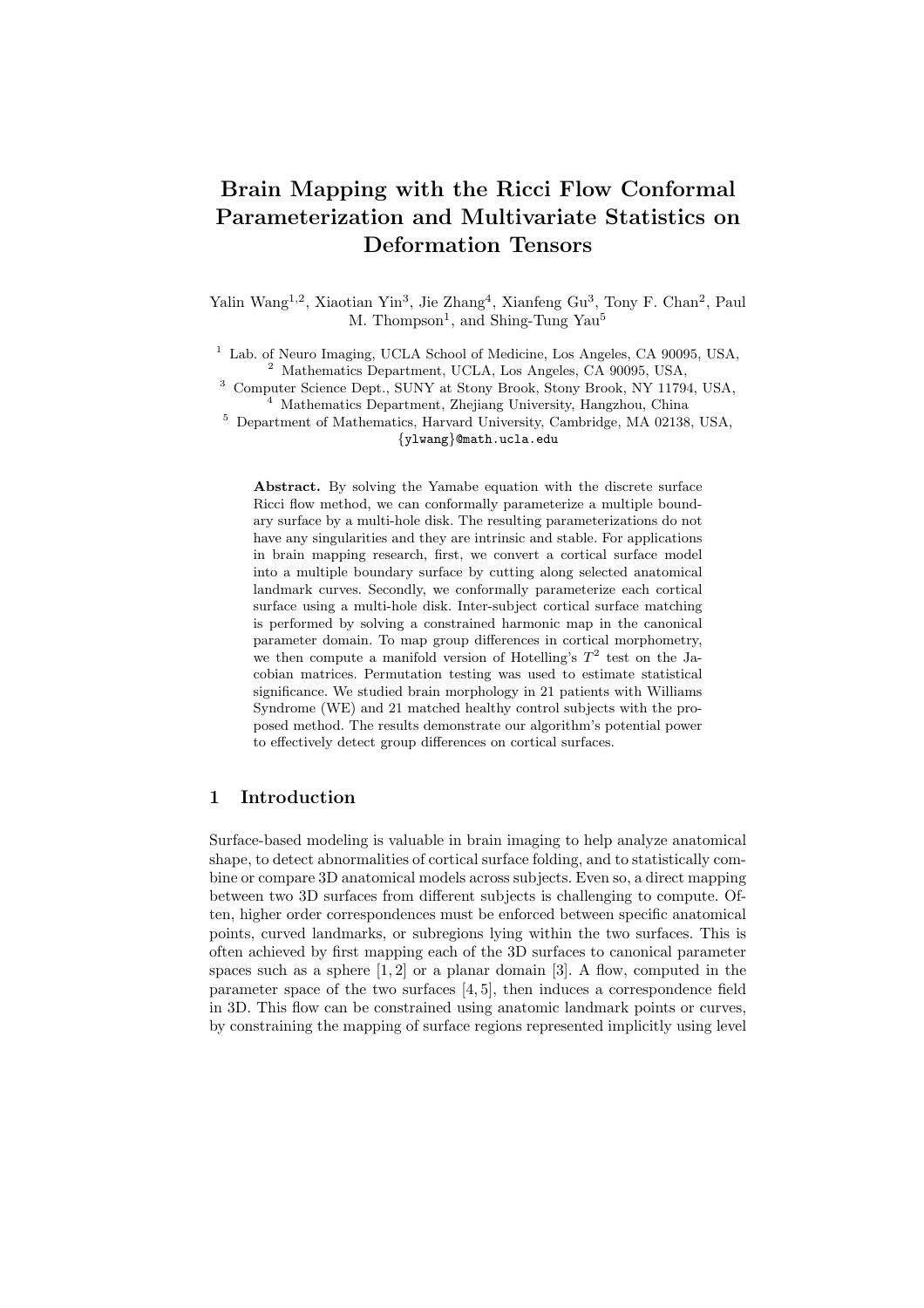## Brain Mapping with the Ricci Flow Conformal Parameterization and Multivariate Statistics on Deformation Tensors

Yalin Wang<sup>1,2</sup>, Xiaotian Yin<sup>3</sup>, Jie Zhang<sup>4</sup>, Xianfeng Gu<sup>3</sup>, Tony F. Chan<sup>2</sup>, Paul M. Thompson<sup>1</sup>, and Shing-Tung Yau<sup>5</sup>

<sup>1</sup> Lab. of Neuro Imaging, UCLA School of Medicine, Los Angeles, CA 90095, USA, <sup>2</sup> Mathematics Department, UCLA, Los Angeles, CA 90095, USA,

<sup>3</sup> Computer Science Dept., SUNY at Stony Brook, Stony Brook, NY 11794, USA, <sup>4</sup> Mathematics Department, Zhejiang University, Hangzhou, China

<sup>5</sup> Department of Mathematics, Harvard University, Cambridge, MA 02138, USA, {ylwang}@math.ucla.edu

Abstract. By solving the Yamabe equation with the discrete surface Ricci flow method, we can conformally parameterize a multiple boundary surface by a multi-hole disk. The resulting parameterizations do not have any singularities and they are intrinsic and stable. For applications in brain mapping research, first, we convert a cortical surface model into a multiple boundary surface by cutting along selected anatomical landmark curves. Secondly, we conformally parameterize each cortical surface using a multi-hole disk. Inter-subject cortical surface matching is performed by solving a constrained harmonic map in the canonical parameter domain. To map group differences in cortical morphometry, we then compute a manifold version of Hotelling's  $T^2$  test on the Jacobian matrices. Permutation testing was used to estimate statistical significance. We studied brain morphology in 21 patients with Williams Syndrome (WE) and 21 matched healthy control subjects with the proposed method. The results demonstrate our algorithm's potential power to effectively detect group differences on cortical surfaces.

#### 1 Introduction

Surface-based modeling is valuable in brain imaging to help analyze anatomical shape, to detect abnormalities of cortical surface folding, and to statistically combine or compare 3D anatomical models across subjects. Even so, a direct mapping between two 3D surfaces from different subjects is challenging to compute. Often, higher order correspondences must be enforced between specific anatomical points, curved landmarks, or subregions lying within the two surfaces. This is often achieved by first mapping each of the 3D surfaces to canonical parameter spaces such as a sphere  $[1, 2]$  or a planar domain  $[3]$ . A flow, computed in the parameter space of the two surfaces [4, 5], then induces a correspondence field in 3D. This flow can be constrained using anatomic landmark points or curves, by constraining the mapping of surface regions represented implicitly using level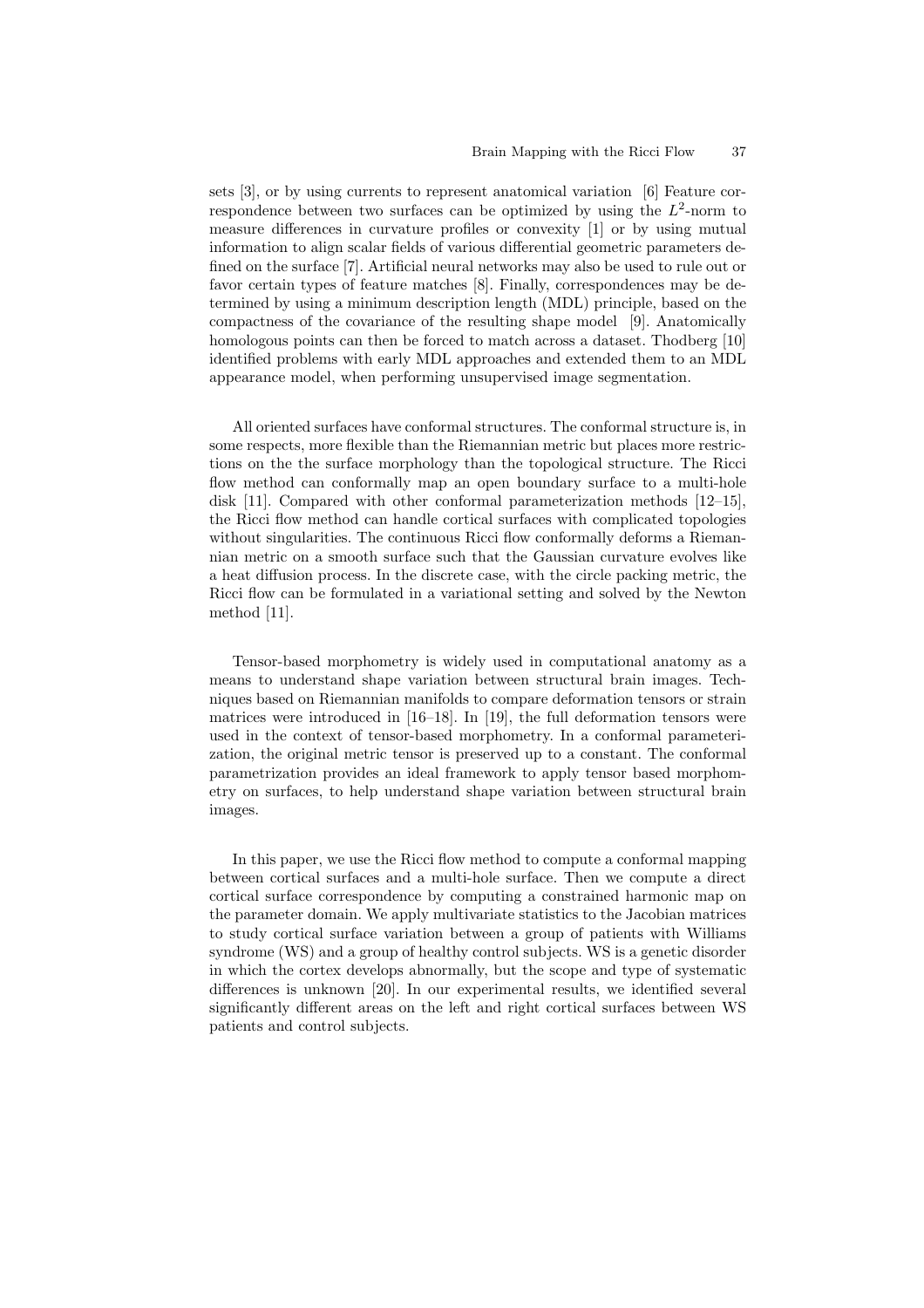sets [3], or by using currents to represent anatomical variation [6] Feature correspondence between two surfaces can be optimized by using the  $L^2$ -norm to measure differences in curvature profiles or convexity [1] or by using mutual information to align scalar fields of various differential geometric parameters defined on the surface [7]. Artificial neural networks may also be used to rule out or favor certain types of feature matches [8]. Finally, correspondences may be determined by using a minimum description length (MDL) principle, based on the compactness of the covariance of the resulting shape model [9]. Anatomically homologous points can then be forced to match across a dataset. Thodberg [10] identified problems with early MDL approaches and extended them to an MDL appearance model, when performing unsupervised image segmentation.

All oriented surfaces have conformal structures. The conformal structure is, in some respects, more flexible than the Riemannian metric but places more restrictions on the the surface morphology than the topological structure. The Ricci flow method can conformally map an open boundary surface to a multi-hole disk [11]. Compared with other conformal parameterization methods [12–15], the Ricci flow method can handle cortical surfaces with complicated topologies without singularities. The continuous Ricci flow conformally deforms a Riemannian metric on a smooth surface such that the Gaussian curvature evolves like a heat diffusion process. In the discrete case, with the circle packing metric, the Ricci flow can be formulated in a variational setting and solved by the Newton method [11].

Tensor-based morphometry is widely used in computational anatomy as a means to understand shape variation between structural brain images. Techniques based on Riemannian manifolds to compare deformation tensors or strain matrices were introduced in  $[16–18]$ . In [19], the full deformation tensors were used in the context of tensor-based morphometry. In a conformal parameterization, the original metric tensor is preserved up to a constant. The conformal parametrization provides an ideal framework to apply tensor based morphometry on surfaces, to help understand shape variation between structural brain images.

In this paper, we use the Ricci flow method to compute a conformal mapping between cortical surfaces and a multi-hole surface. Then we compute a direct cortical surface correspondence by computing a constrained harmonic map on the parameter domain. We apply multivariate statistics to the Jacobian matrices to study cortical surface variation between a group of patients with Williams syndrome (WS) and a group of healthy control subjects. WS is a genetic disorder in which the cortex develops abnormally, but the scope and type of systematic differences is unknown [20]. In our experimental results, we identified several significantly different areas on the left and right cortical surfaces between WS patients and control subjects.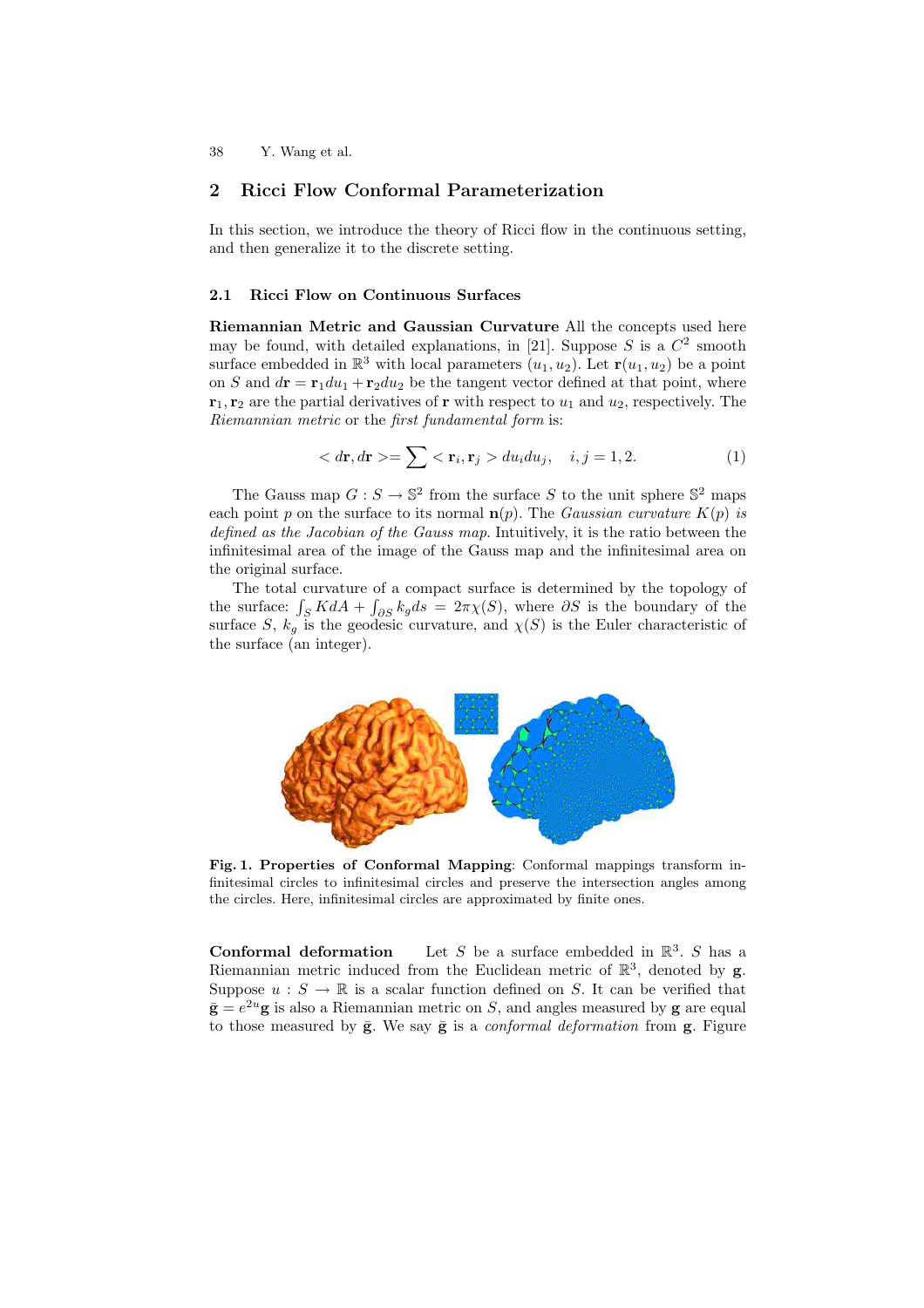#### 2 Ricci Flow Conformal Parameterization

In this section, we introduce the theory of Ricci flow in the continuous setting, and then generalize it to the discrete setting.

#### 2.1 Ricci Flow on Continuous Surfaces

Riemannian Metric and Gaussian Curvature All the concepts used here may be found, with detailed explanations, in [21]. Suppose  $S$  is a  $C<sup>2</sup>$  smooth surface embedded in  $\mathbb{R}^3$  with local parameters  $(u_1, u_2)$ . Let  $\mathbf{r}(u_1, u_2)$  be a point on S and  $d\mathbf{r} = \mathbf{r}_1 du_1 + \mathbf{r}_2 du_2$  be the tangent vector defined at that point, where  $\mathbf{r}_1, \mathbf{r}_2$  are the partial derivatives of **r** with respect to  $u_1$  and  $u_2$ , respectively. The Riemannian metric or the first fundamental form is:

$$
\langle d\mathbf{r}, d\mathbf{r} \rangle = \sum \langle \mathbf{r}_i, \mathbf{r}_j \rangle du_i du_j, \quad i, j = 1, 2. \tag{1}
$$

The Gauss map  $G: S \to \mathbb{S}^2$  from the surface S to the unit sphere  $\mathbb{S}^2$  maps each point p on the surface to its normal  $n(p)$ . The *Gaussian curvature*  $K(p)$  is defined as the Jacobian of the Gauss map. Intuitively, it is the ratio between the infinitesimal area of the image of the Gauss map and the infinitesimal area on the original surface.

The total curvature of a compact surface is determined by the topology of the surface:  $\int_S K dA + \int_{\partial S} k_g ds = 2\pi \chi(S)$ , where  $\partial S$  is the boundary of the surface S,  $k_g$  is the geodesic curvature, and  $\chi(S)$  is the Euler characteristic of the surface (an integer).



Fig. 1. Properties of Conformal Mapping: Conformal mappings transform infinitesimal circles to infinitesimal circles and preserve the intersection angles among the circles. Here, infinitesimal circles are approximated by finite ones.

**Conformal deformation** Let S be a surface embedded in  $\mathbb{R}^3$ . S has a Riemannian metric induced from the Euclidean metric of  $\mathbb{R}^3$ , denoted by **g**. Suppose  $u : S \to \mathbb{R}$  is a scalar function defined on S. It can be verified that  $\bar{\mathbf{g}} = e^{2u} \mathbf{g}$  is also a Riemannian metric on S, and angles measured by  $\mathbf{g}$  are equal to those measured by  $\bar{g}$ . We say  $\bar{g}$  is a *conformal deformation* from  $g$ . Figure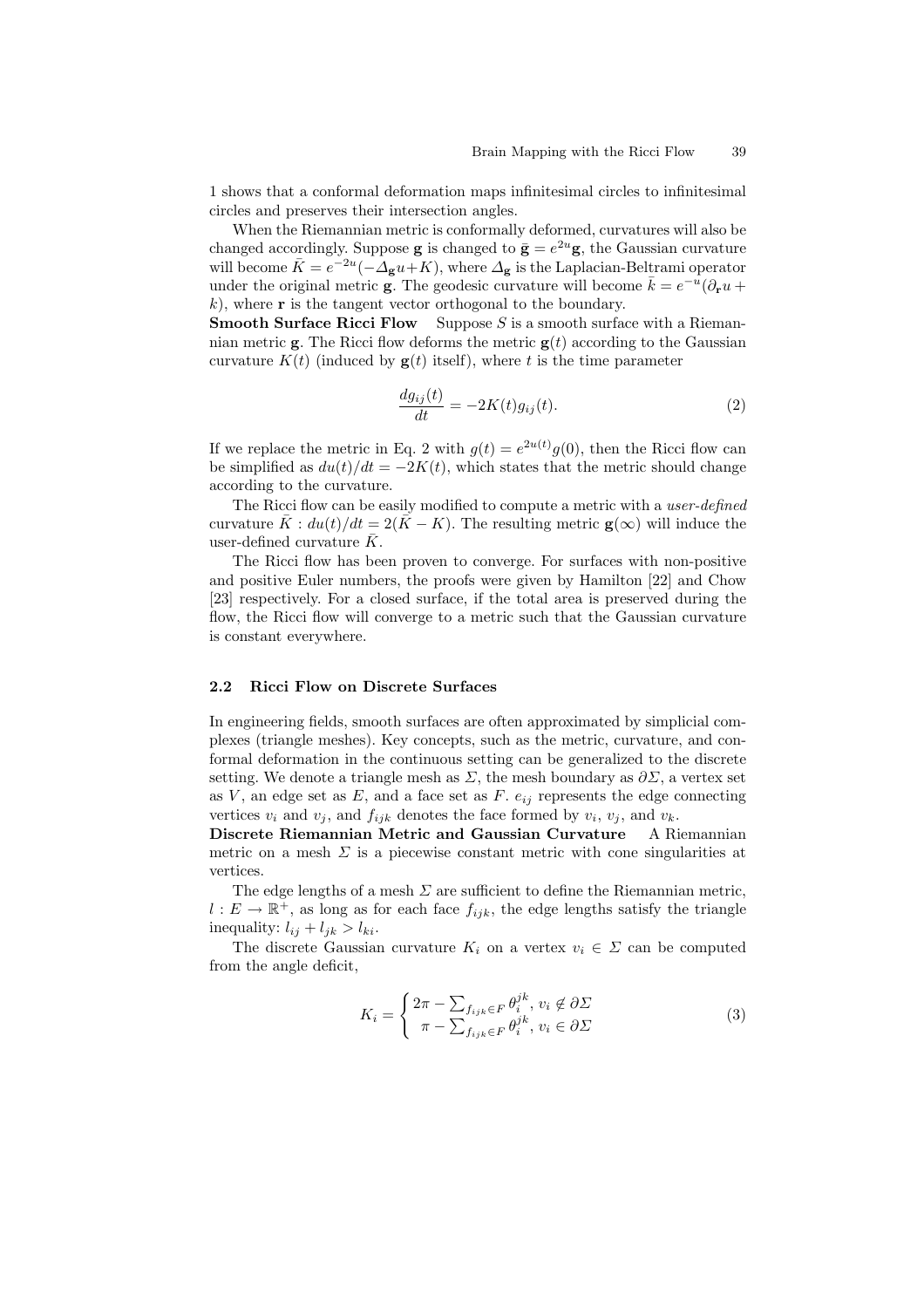1 shows that a conformal deformation maps infinitesimal circles to infinitesimal circles and preserves their intersection angles.

When the Riemannian metric is conformally deformed, curvatures will also be changed accordingly. Suppose **g** is changed to  $\bar{\mathbf{g}} = e^{2u}\mathbf{g}$ , the Gaussian curvature will become  $\bar{K} = e^{-2u}(-\Delta_{\bf g}u + K)$ , where  $\Delta_{\bf g}$  is the Laplacian-Beltrami operator under the original metric **g**. The geodesic curvature will become  $\bar{k} = e^{-u}(\partial_r u +$  $k$ ), where **r** is the tangent vector orthogonal to the boundary.

**Smooth Surface Ricci Flow** Suppose  $S$  is a smooth surface with a Riemannian metric  $\mathbf{g}$ . The Ricci flow deforms the metric  $\mathbf{g}(t)$  according to the Gaussian curvature  $K(t)$  (induced by  $g(t)$  itself), where t is the time parameter

$$
\frac{dg_{ij}(t)}{dt} = -2K(t)g_{ij}(t). \tag{2}
$$

If we replace the metric in Eq. 2 with  $g(t) = e^{2u(t)}g(0)$ , then the Ricci flow can be simplified as  $du(t)/dt = -2K(t)$ , which states that the metric should change according to the curvature.

The Ricci flow can be easily modified to compute a metric with a *user-defined* curvature  $\bar{K}$ :  $du(t)/dt = 2(\bar{K} - K)$ . The resulting metric  $\mathbf{g}(\infty)$  will induce the user-defined curvature  $\bar{K}$ .

The Ricci flow has been proven to converge. For surfaces with non-positive and positive Euler numbers, the proofs were given by Hamilton [22] and Chow [23] respectively. For a closed surface, if the total area is preserved during the flow, the Ricci flow will converge to a metric such that the Gaussian curvature is constant everywhere.

#### 2.2 Ricci Flow on Discrete Surfaces

In engineering fields, smooth surfaces are often approximated by simplicial complexes (triangle meshes). Key concepts, such as the metric, curvature, and conformal deformation in the continuous setting can be generalized to the discrete setting. We denote a triangle mesh as  $\Sigma$ , the mesh boundary as  $\partial \Sigma$ , a vertex set as  $V$ , an edge set as  $E$ , and a face set as  $F$ .  $e_{ij}$  represents the edge connecting vertices  $v_i$  and  $v_j$ , and  $f_{ijk}$  denotes the face formed by  $v_i$ ,  $v_j$ , and  $v_k$ .

Discrete Riemannian Metric and Gaussian Curvature A Riemannian metric on a mesh  $\Sigma$  is a piecewise constant metric with cone singularities at vertices.

The edge lengths of a mesh  $\Sigma$  are sufficient to define the Riemannian metric,  $l: E \to \mathbb{R}^+$ , as long as for each face  $f_{ijk}$ , the edge lengths satisfy the triangle inequality:  $l_{ij} + l_{jk} > l_{ki}$ .

The discrete Gaussian curvature  $K_i$  on a vertex  $v_i \in \Sigma$  can be computed from the angle deficit,

$$
K_i = \begin{cases} 2\pi - \sum_{f_{ijk} \in F} \theta_i^{jk}, v_i \notin \partial \Sigma \\ \pi - \sum_{f_{ijk} \in F} \theta_i^{jk}, v_i \in \partial \Sigma \end{cases}
$$
 (3)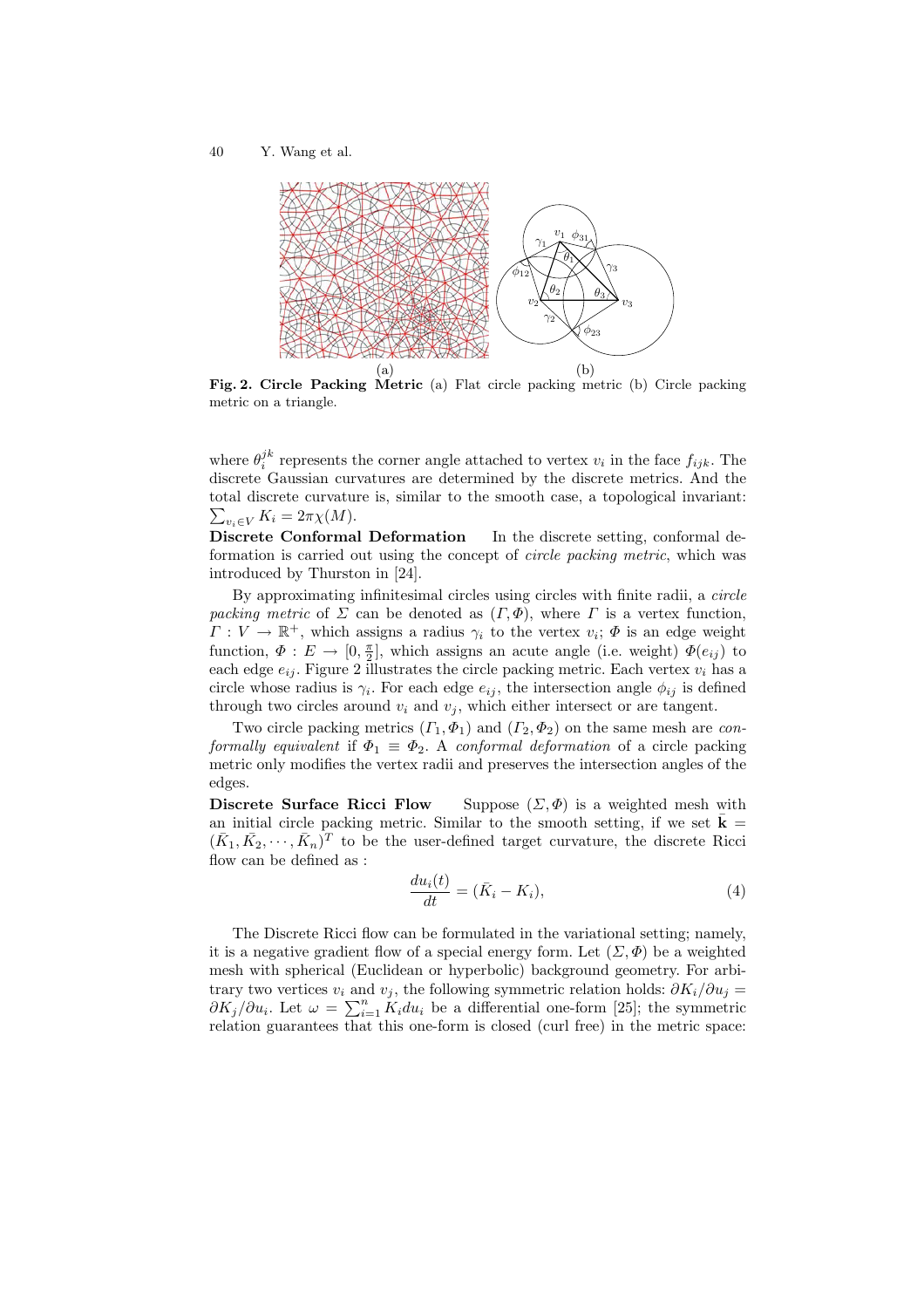

Fig. 2. Circle Packing Metric (a) Flat circle packing metric (b) Circle packing metric on a triangle.

where  $\theta_i^{jk}$  represents the corner angle attached to vertex  $v_i$  in the face  $f_{ijk}$ . The discrete Gaussian curvatures are determined by the discrete metrics. And the total discrete curvature is, similar to the smooth case, a to pological invariant:  $\sum_{v_i \in V} K_i = 2\pi \chi(M).$ 

Discrete Conformal Deformation In the discrete setting, conformal deformation is carried out using the concept of circle packing metric, which was introduced by Thurston in [24].

By approximating infinitesimal circles using circles with finite radii, a circle packing metric of  $\Sigma$  can be denoted as  $(\Gamma, \Phi)$ , where  $\Gamma$  is a vertex function,  $\Gamma: V \to \mathbb{R}^+$ , which assigns a radius  $\gamma_i$  to the vertex  $v_i$ ;  $\Phi$  is an edge weight function,  $\Phi: E \to [0, \frac{\pi}{2}]$ , which assigns an acute angle (i.e. weight)  $\Phi(e_{ij})$  to each edge  $e_{ij}$ . Figure 2 illustrates the circle packing metric. Each vertex  $v_i$  has a circle whose radius is  $\gamma_i$ . For each edge  $e_{ij}$ , the intersection angle  $\phi_{ij}$  is defined through two circles around  $v_i$  and  $v_j$ , which either intersect or are tangent.

Two circle packing metrics  $(\Gamma_1, \Phi_1)$  and  $(\Gamma_2, \Phi_2)$  on the same mesh are conformally equivalent if  $\Phi_1 \equiv \Phi_2$ . A conformal deformation of a circle packing metric only modifies the vertex radii and preserves the intersection angles of the edges.

Discrete Surface Ricci Flow Suppose  $(\Sigma, \Phi)$  is a weighted mesh with an initial circle packing metric. Similar to the smooth setting, if we set  $\bar{\mathbf{k}} =$  $(\bar{K}_1, \bar{K}_2, \cdots, \bar{K}_n)^T$  to be the user-defined target curvature, the discrete Ricci flow can be defined as :

$$
\frac{du_i(t)}{dt} = (\bar{K}_i - K_i),\tag{4}
$$

The Discrete Ricci flow can be formulated in the variational setting; namely, it is a negative gradient flow of a special energy form. Let  $(\Sigma, \Phi)$  be a weighted mesh with spherical (Euclidean or hyperbolic) background geometry. For arbitrary two vertices  $v_i$  and  $v_j$ , the following symmetric relation holds:  $\partial K_i/\partial u_j =$  $\partial K_j/\partial u_i$ . Let  $\omega = \sum_{i=1}^n K_i du_i$  be a differential one-form [25]; the symmetric relation guarantees that this one-form is closed (curl free) in the metric space: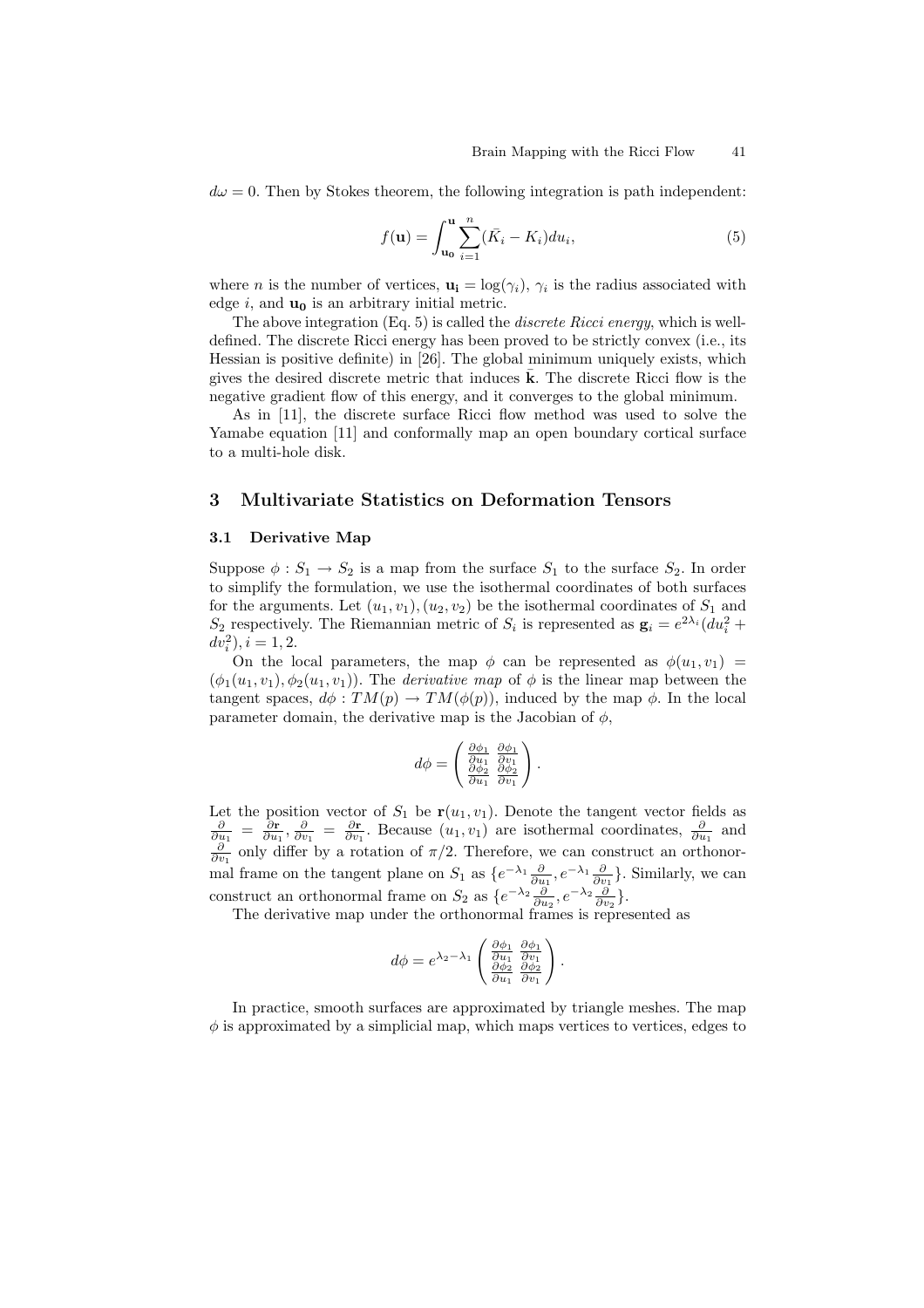$d\omega = 0$ . Then by Stokes theorem, the following integration is path independent:

$$
f(\mathbf{u}) = \int_{\mathbf{u_0}}^{\mathbf{u}} \sum_{i=1}^{n} (\bar{K}_i - K_i) du_i,
$$
 (5)

where *n* is the number of vertices,  $\mathbf{u_i} = \log(\gamma_i)$ ,  $\gamma_i$  is the radius associated with edge  $i$ , and  $\mathbf{u}_0$  is an arbitrary initial metric.

The above integration  $(Eq, 5)$  is called the *discrete Ricci energy*, which is welldefined. The discrete Ricci energy has been proved to be strictly convex (i.e., its Hessian is positive definite) in [26]. The global minimum uniquely exists, which gives the desired discrete metric that induces  $\bf{k}$ . The discrete Ricci flow is the negative gradient flow of this energy, and it converges to the global minimum.

As in [11], the discrete surface Ricci flow method was used to solve the Yamabe equation [11] and conformally map an open boundary cortical surface to a multi-hole disk.

#### 3 Multivariate Statistics on Deformation Tensors

#### 3.1 Derivative Map

Suppose  $\phi : S_1 \to S_2$  is a map from the surface  $S_1$  to the surface  $S_2$ . In order to simplify the formulation, we use the isothermal coordinates of both surfaces for the arguments. Let  $(u_1, v_1), (u_2, v_2)$  be the isothermal coordinates of  $S_1$  and  $S_2$  respectively. The Riemannian metric of  $S_i$  is represented as  $\mathbf{g}_i = e^{2\lambda_i} (du_i^2 +$  $dv_i^2$ ,  $i = 1, 2$ .

On the local parameters, the map  $\phi$  can be represented as  $\phi(u_1, v_1)$  =  $(\phi_1(u_1, v_1), \phi_2(u_1, v_1))$ . The *derivative map* of  $\phi$  is the linear map between the tangent spaces,  $d\phi: TM(p) \to TM(\phi(p))$ , induced by the map  $\phi$ . In the local parameter domain, the derivative map is the Jacobian of  $\phi$ ,

$$
d\phi = \begin{pmatrix} \frac{\partial \phi_1}{\partial u_1} & \frac{\partial \phi_1}{\partial v_1} \\ \frac{\partial \phi_2}{\partial u_1} & \frac{\partial \phi_2}{\partial v_1} \end{pmatrix}
$$

.

Let the position vector of  $S_1$  be  $r(u_1, v_1)$ . Denote the tangent vector fields as  $\frac{\partial}{\partial u_1} = \frac{\partial \mathbf{r}}{\partial u_1}, \frac{\partial}{\partial v_1} = \frac{\partial \mathbf{r}}{\partial v_1}.$  Because  $(u_1, v_1)$  are isothermal coordinates,  $\frac{\partial}{\partial u_1}$  and  $\frac{\partial}{\partial v_1}$  only differ by a rotation of  $\pi/2$ . Therefore, we can construct an orthonormal frame on the tangent plane on  $S_1$  as  $\{e^{-\lambda_1}\frac{\partial}{\partial u_1}, e^{-\lambda_1}\frac{\partial}{\partial v_1}\}$ . Similarly, we can construct an orthonormal frame on  $S_2$  as  $\{e^{-\lambda_2}\frac{\partial}{\partial u_2}, e^{-\lambda_2}\frac{\partial}{\partial v_2}\}.$ 

The derivative map under the orthonormal frames is represented as

$$
d\phi = e^{\lambda_2 - \lambda_1} \begin{pmatrix} \frac{\partial \phi_1}{\partial u_1} & \frac{\partial \phi_1}{\partial v_1} \\ \frac{\partial \phi_2}{\partial u_1} & \frac{\partial \phi_2}{\partial v_1} \end{pmatrix}.
$$

In practice, smooth surfaces are approximated by triangle meshes. The map  $\phi$  is approximated by a simplicial map, which maps vertices to vertices, edges to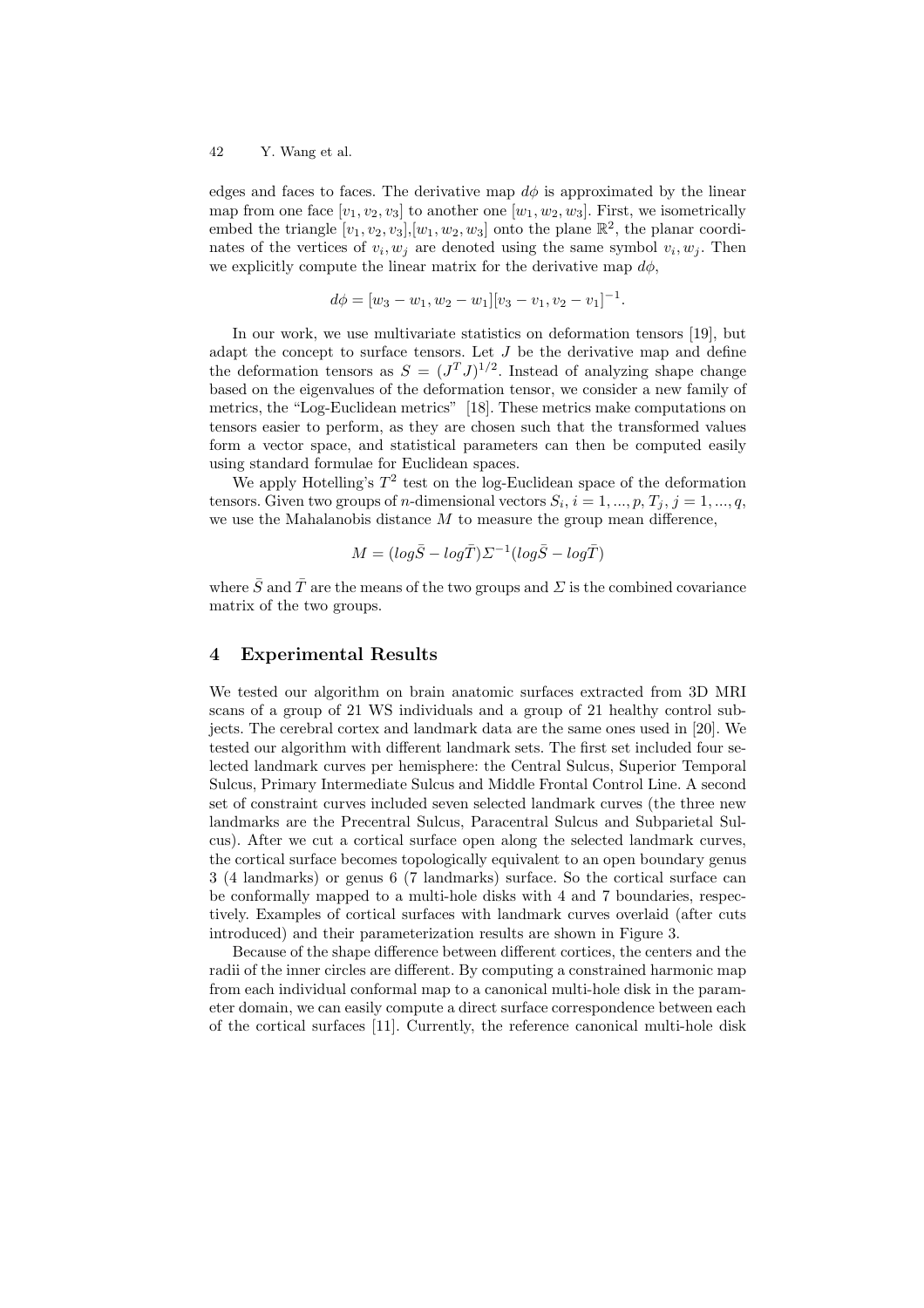edges and faces to faces. The derivative map  $d\phi$  is approximated by the linear map from one face  $[v_1, v_2, v_3]$  to another one  $[w_1, w_2, w_3]$ . First, we isometrically embed the triangle  $[v_1, v_2, v_3], [w_1, w_2, w_3]$  onto the plane  $\mathbb{R}^2$ , the planar coordinates of the vertices of  $v_i, w_j$  are denoted using the same symbol  $v_i, w_j$ . Then we explicitly compute the linear matrix for the derivative map  $d\phi$ ,

$$
d\phi = [w_3 - w_1, w_2 - w_1][v_3 - v_1, v_2 - v_1]^{-1}.
$$

In our work, we use multivariate statistics on deformation tensors [19], but adapt the concept to surface tensors. Let  $J$  be the derivative map and define the deformation tensors as  $S = (J^TJ)^{1/2}$ . Instead of analyzing shape change based on the eigenvalues of the deformation tensor, we consider a new family of metrics, the "Log-Euclidean metrics" [18]. These metrics make computations on tensors easier to perform, as they are chosen such that the transformed values form a vector space, and statistical parameters can then be computed easily using standard formulae for Euclidean spaces.

We apply Hotelling's  $T^2$  test on the log-Euclidean space of the deformation tensors. Given two groups of *n*-dimensional vectors  $S_i$ ,  $i = 1, ..., p$ ,  $T_j$ ,  $j = 1, ..., q$ , we use the Mahalanobis distance  $M$  to measure the group mean difference,

$$
M = (log\overline{S} - log\overline{T})\Sigma^{-1}(log\overline{S} - log\overline{T})
$$

where  $\bar{S}$  and  $\bar{T}$  are the means of the two groups and  $\Sigma$  is the combined covariance matrix of the two groups.

#### 4 Experimental Results

We tested our algorithm on brain anatomic surfaces extracted from 3D MRI scans of a group of 21 WS individuals and a group of 21 healthy control subjects. The cerebral cortex and landmark data are the same ones used in [20]. We tested our algorithm with different landmark sets. The first set included four selected landmark curves per hemisphere: the Central Sulcus, Superior Temporal Sulcus, Primary Intermediate Sulcus and Middle Frontal Control Line. A second set of constraint curves included seven selected landmark curves (the three new landmarks are the Precentral Sulcus, Paracentral Sulcus and Subparietal Sulcus). After we cut a cortical surface open along the selected landmark curves, the cortical surface becomes topologically equivalent to an open boundary genus 3 (4 landmarks) or genus 6 (7 landmarks) surface. So the cortical surface can be conformally mapped to a multi-hole disks with 4 and 7 boundaries, respectively. Examples of cortical surfaces with landmark curves overlaid (after cuts introduced) and their parameterization results are shown in Figure 3.

Because of the shape difference between different cortices, the centers and the radii of the inner circles are different. By computing a constrained harmonic map from each individual conformal map to a canonical multi-hole disk in the parameter domain, we can easily compute a direct surface correspondence between each of the cortical surfaces [11]. Currently, the reference canonical multi-hole disk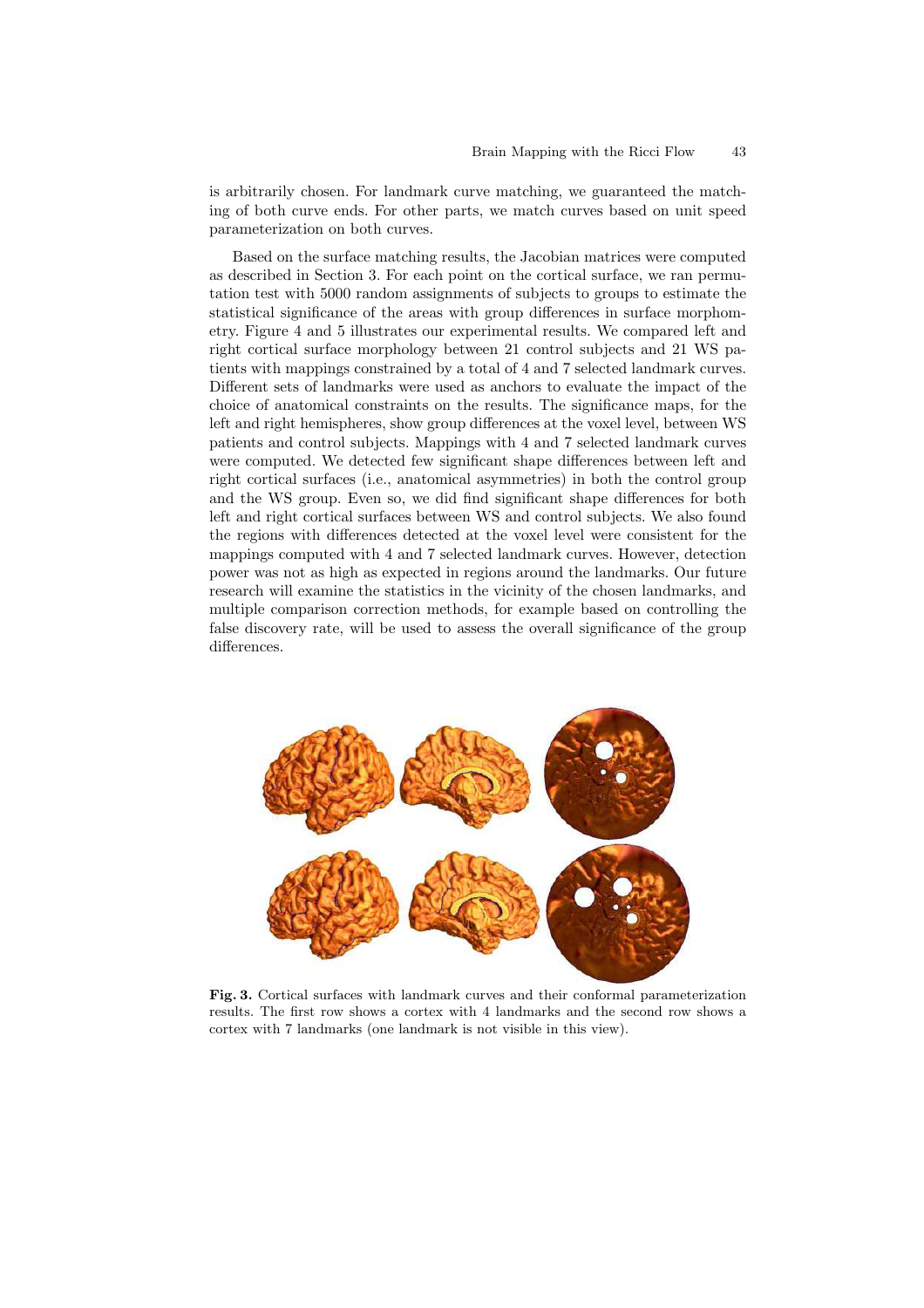is arbitrarily chosen. For landmark curve matching, we guaranteed the matching of both curve ends. For other parts, we match curves based on unit speed parameterization on both curves.

Based on the surface matching results, the Jacobian matrices were computed as described in Section 3. For each point on the cortical surface, we ran permutation test with 5000 random assignments of subjects to groups to estimate the statistical significance of the areas with group differences in surface morphometry. Figure 4 and 5 illustrates our experimental results. We compared left and right cortical surface morphology between 21 control subjects and 21 WS patients with mappings constrained by a total of 4 and 7 selected landmark curves. Different sets of landmarks were used as anchors to evaluate the impact of the choice of anatomical constraints on the results. The significance maps, for the left and right hemispheres, show group differences at the voxel level, between WS patients and control subjects. Mappings with 4 and 7 selected landmark curves were computed. We detected few significant shape differences between left and right cortical surfaces (i.e., anatomical asymmetries) in both the control group and the WS group. Even so, we did find significant shape differences for both left and right cortical surfaces between WS and control subjects. We also found the regions with differences detected at the voxel level were consistent for the mappings computed with 4 and 7 selected landmark curves. However, detection power was not as high as expected in regions around the landmarks. Our future research will examine the statistics in the vicinity of the chosen landmarks, and multiple comparison correction methods, for example based on controlling the false discovery rate, will be used to assess the overall significance of the group differences.



Fig. 3. Cortical surfaces with landmark curves and their conformal parameterization results. The first row shows a cortex with 4 landmarks and the second row shows a cortex with 7 landmarks (one landmark is not visible in this view).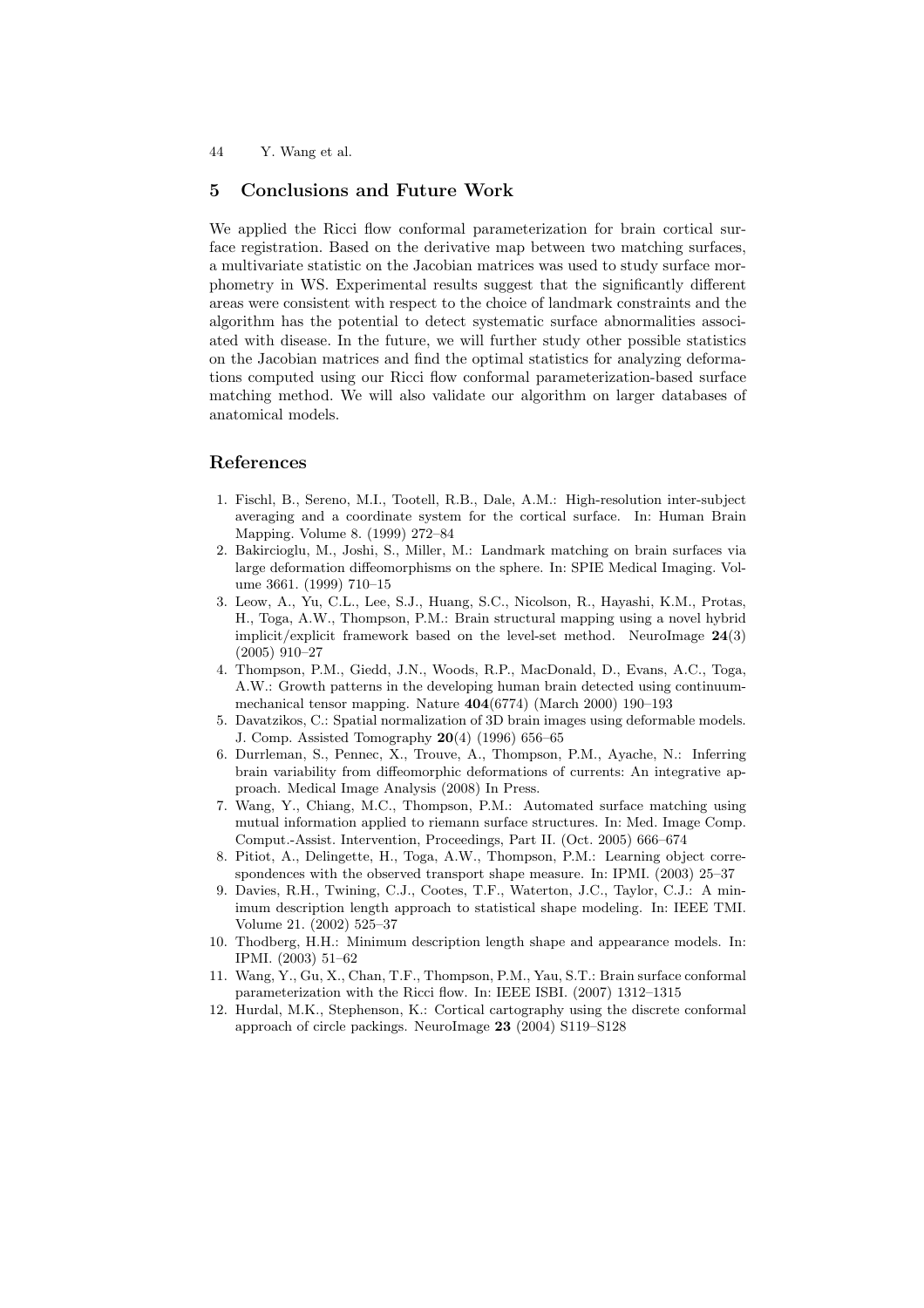#### 5 Conclusions and Future Work

We applied the Ricci flow conformal parameterization for brain cortical surface registration. Based on the derivative map between two matching surfaces, a multivariate statistic on the Jacobian matrices was used to study surface morphometry in WS. Experimental results suggest that the significantly different areas were consistent with respect to the choice of landmark constraints and the algorithm has the potential to detect systematic surface abnormalities associated with disease. In the future, we will further study other possible statistics on the Jacobian matrices and find the optimal statistics for analyzing deformations computed using our Ricci flow conformal parameterization-based surface matching method. We will also validate our algorithm on larger databases of anatomical models.

#### References

- 1. Fischl, B., Sereno, M.I., Tootell, R.B., Dale, A.M.: High-resolution inter-subject averaging and a coordinate system for the cortical surface. In: Human Brain Mapping. Volume 8. (1999) 272–84
- 2. Bakircioglu, M., Joshi, S., Miller, M.: Landmark matching on brain surfaces via large deformation diffeomorphisms on the sphere. In: SPIE Medical Imaging. Volume 3661. (1999) 710–15
- 3. Leow, A., Yu, C.L., Lee, S.J., Huang, S.C., Nicolson, R., Hayashi, K.M., Protas, H., Toga, A.W., Thompson, P.M.: Brain structural mapping using a novel hybrid implicit/explicit framework based on the level-set method. NeuroImage 24(3) (2005) 910–27
- 4. Thompson, P.M., Giedd, J.N., Woods, R.P., MacDonald, D., Evans, A.C., Toga, A.W.: Growth patterns in the developing human brain detected using continuummechanical tensor mapping. Nature 404(6774) (March 2000) 190–193
- 5. Davatzikos, C.: Spatial normalization of 3D brain images using deformable models. J. Comp. Assisted Tomography 20(4) (1996) 656–65
- 6. Durrleman, S., Pennec, X., Trouve, A., Thompson, P.M., Ayache, N.: Inferring brain variability from diffeomorphic deformations of currents: An integrative approach. Medical Image Analysis (2008) In Press.
- 7. Wang, Y., Chiang, M.C., Thompson, P.M.: Automated surface matching using mutual information applied to riemann surface structures. In: Med. Image Comp. Comput.-Assist. Intervention, Proceedings, Part II. (Oct. 2005) 666–674
- 8. Pitiot, A., Delingette, H., Toga, A.W., Thompson, P.M.: Learning object correspondences with the observed transport shape measure. In: IPMI. (2003) 25–37
- 9. Davies, R.H., Twining, C.J., Cootes, T.F., Waterton, J.C., Taylor, C.J.: A minimum description length approach to statistical shape modeling. In: IEEE TMI. Volume 21. (2002) 525–37
- 10. Thodberg, H.H.: Minimum description length shape and appearance models. In: IPMI. (2003) 51–62
- 11. Wang, Y., Gu, X., Chan, T.F., Thompson, P.M., Yau, S.T.: Brain surface conformal parameterization with the Ricci flow. In: IEEE ISBI. (2007) 1312–1315
- 12. Hurdal, M.K., Stephenson, K.: Cortical cartography using the discrete conformal approach of circle packings. NeuroImage 23 (2004) S119–S128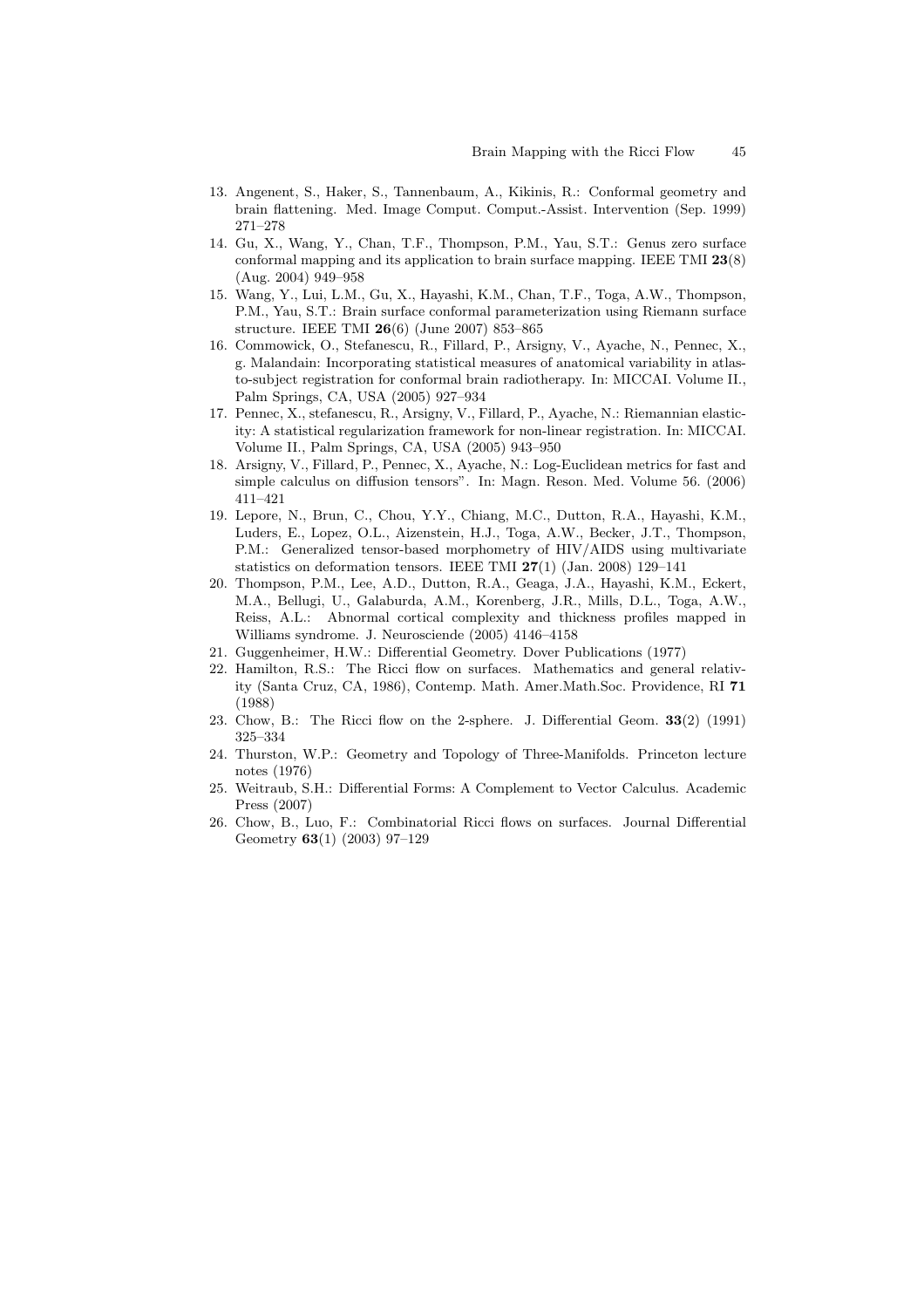- 13. Angenent, S., Haker, S., Tannenbaum, A., Kikinis, R.: Conformal geometry and brain flattening. Med. Image Comput. Comput.-Assist. Intervention (Sep. 1999) 271–278
- 14. Gu, X., Wang, Y., Chan, T.F., Thompson, P.M., Yau, S.T.: Genus zero surface conformal mapping and its application to brain surface mapping. IEEE TMI 23(8) (Aug. 2004) 949–958
- 15. Wang, Y., Lui, L.M., Gu, X., Hayashi, K.M., Chan, T.F., Toga, A.W., Thompson, P.M., Yau, S.T.: Brain surface conformal parameterization using Riemann surface structure. IEEE TMI 26(6) (June 2007) 853–865
- 16. Commowick, O., Stefanescu, R., Fillard, P., Arsigny, V., Ayache, N., Pennec, X., g. Malandain: Incorporating statistical measures of anatomical variability in atlasto-subject registration for conformal brain radiotherapy. In: MICCAI. Volume II., Palm Springs, CA, USA (2005) 927–934
- 17. Pennec, X., stefanescu, R., Arsigny, V., Fillard, P., Ayache, N.: Riemannian elasticity: A statistical regularization framework for non-linear registration. In: MICCAI. Volume II., Palm Springs, CA, USA (2005) 943–950
- 18. Arsigny, V., Fillard, P., Pennec, X., Ayache, N.: Log-Euclidean metrics for fast and simple calculus on diffusion tensors". In: Magn. Reson. Med. Volume 56. (2006) 411–421
- 19. Lepore, N., Brun, C., Chou, Y.Y., Chiang, M.C., Dutton, R.A., Hayashi, K.M., Luders, E., Lopez, O.L., Aizenstein, H.J., Toga, A.W., Becker, J.T., Thompson, P.M.: Generalized tensor-based morphometry of HIV/AIDS using multivariate statistics on deformation tensors. IEEE TMI 27(1) (Jan. 2008) 129–141
- 20. Thompson, P.M., Lee, A.D., Dutton, R.A., Geaga, J.A., Hayashi, K.M., Eckert, M.A., Bellugi, U., Galaburda, A.M., Korenberg, J.R., Mills, D.L., Toga, A.W., Reiss, A.L.: Abnormal cortical complexity and thickness profiles mapped in Williams syndrome. J. Neurosciende (2005) 4146–4158
- 21. Guggenheimer, H.W.: Differential Geometry. Dover Publications (1977)
- 22. Hamilton, R.S.: The Ricci flow on surfaces. Mathematics and general relativity (Santa Cruz, CA, 1986), Contemp. Math. Amer.Math.Soc. Providence, RI 71 (1988)
- 23. Chow, B.: The Ricci flow on the 2-sphere. J. Differential Geom. 33(2) (1991) 325–334
- 24. Thurston, W.P.: Geometry and Topology of Three-Manifolds. Princeton lecture notes (1976)
- 25. Weitraub, S.H.: Differential Forms: A Complement to Vector Calculus. Academic Press (2007)
- 26. Chow, B., Luo, F.: Combinatorial Ricci flows on surfaces. Journal Differential Geometry 63(1) (2003) 97–129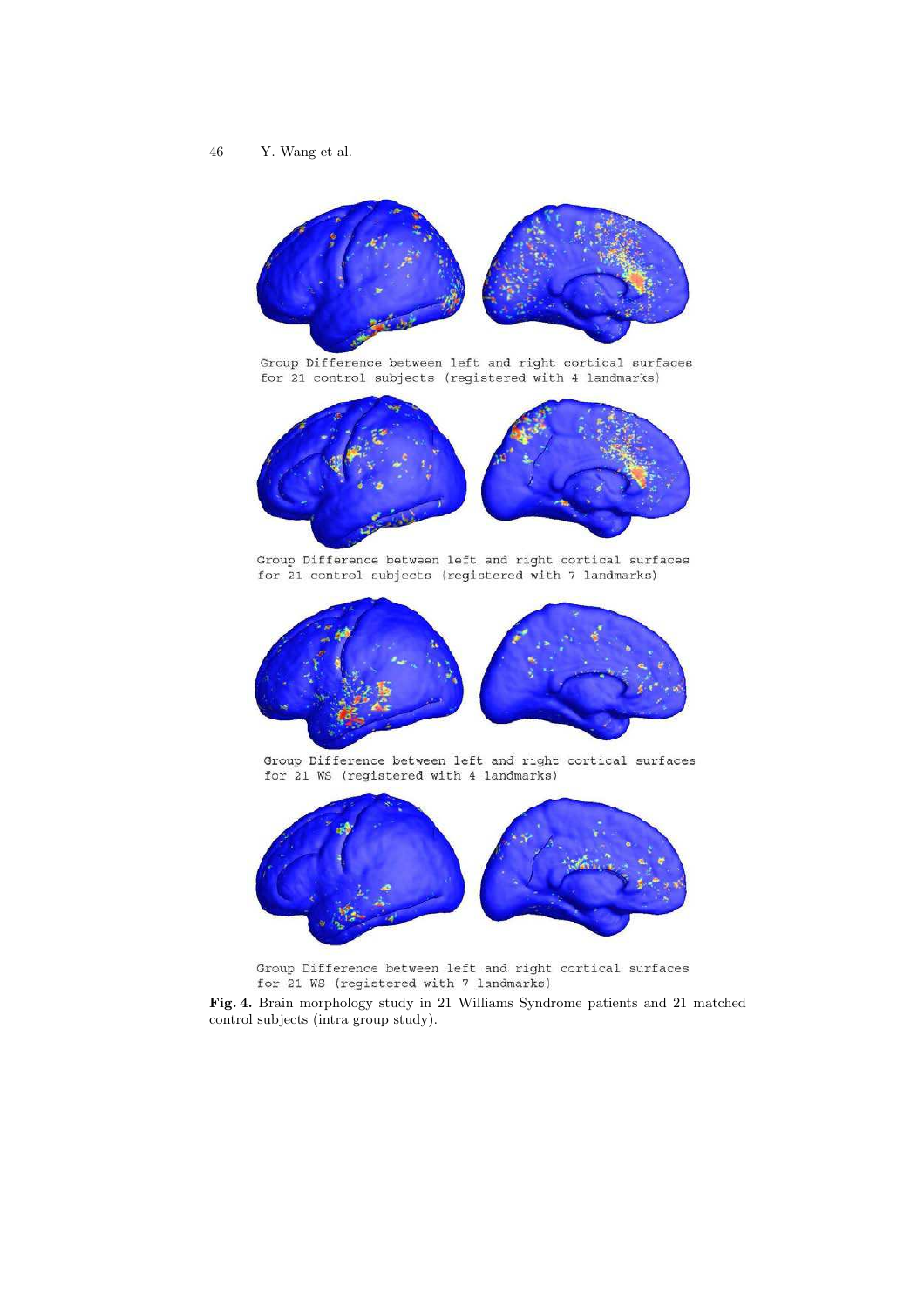

Group Difference between left and right cortical surfaces for 21 control subjects (registered with 4 landmarks)



Group Difference between left and right cortical surfaces for 21 control subjects (registered with 7 landmarks)



Group Difference between left and right cortical surfaces for 21 WS (registered with 4 landmarks)



Group Difference between left and right cortical surfaces for 21 WS (registered with 7 landmarks)

Fig. 4. Brain morphology study in 21 Williams Syndrome patients and 21 matched control subjects (intra group study).